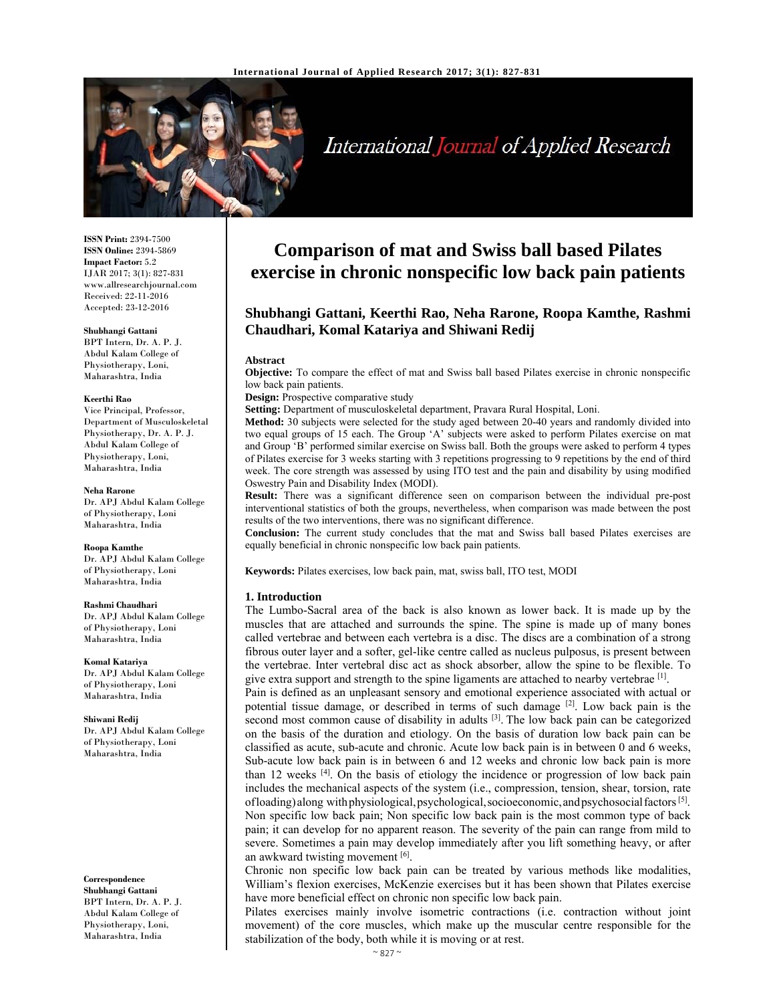

# International Journal of Applied Research

**ISSN Print:** 2394-7500 **ISSN Online:** 2394-5869 **Impact Factor:** 5.2 IJAR 2017; 3(1): 827-831 www.allresearchjournal.com Received: 22-11-2016 Accepted: 23-12-2016

#### **Shubhangi Gattani**

BPT Intern, Dr. A. P. J. Abdul Kalam College of Physiotherapy, Loni, Maharashtra, India

#### **Keerthi Rao**

Vice Principal, Professor, Department of Musculoskeletal Physiotherapy, Dr. A. P. J. Abdul Kalam College of Physiotherapy, Loni, Maharashtra, India

#### **Neha Rarone**

Dr. APJ Abdul Kalam College of Physiotherapy, Loni Maharashtra, India

#### **Roopa Kamthe**

Dr. APJ Abdul Kalam College of Physiotherapy, Loni Maharashtra, India

#### **Rashmi Chaudhari**

Dr. APJ Abdul Kalam College of Physiotherapy, Loni Maharashtra, India

#### **Komal Katariya**

Dr. APJ Abdul Kalam College of Physiotherapy, Loni Maharashtra, India

**Shiwani Redij**  Dr. APJ Abdul Kalam College of Physiotherapy, Loni Maharashtra, India

**Correspondence Shubhangi Gattani**  BPT Intern, Dr. A. P. J. Abdul Kalam College of Physiotherapy, Loni, Maharashtra, India

## **Comparison of mat and Swiss ball based Pilates exercise in chronic nonspecific low back pain patients**

## **Shubhangi Gattani, Keerthi Rao, Neha Rarone, Roopa Kamthe, Rashmi Chaudhari, Komal Katariya and Shiwani Redij**

#### **Abstract**

**Objective:** To compare the effect of mat and Swiss ball based Pilates exercise in chronic nonspecific low back pain patients.

**Design:** Prospective comparative study

**Setting:** Department of musculoskeletal department, Pravara Rural Hospital, Loni.

**Method:** 30 subjects were selected for the study aged between 20-40 years and randomly divided into two equal groups of 15 each. The Group 'A' subjects were asked to perform Pilates exercise on mat and Group 'B' performed similar exercise on Swiss ball. Both the groups were asked to perform 4 types of Pilates exercise for 3 weeks starting with 3 repetitions progressing to 9 repetitions by the end of third week. The core strength was assessed by using ITO test and the pain and disability by using modified Oswestry Pain and Disability Index (MODI).

**Result:** There was a significant difference seen on comparison between the individual pre-post interventional statistics of both the groups, nevertheless, when comparison was made between the post results of the two interventions, there was no significant difference.

**Conclusion:** The current study concludes that the mat and Swiss ball based Pilates exercises are equally beneficial in chronic nonspecific low back pain patients.

**Keywords:** Pilates exercises, low back pain, mat, swiss ball, ITO test, MODI

### **1. Introduction**

The Lumbo-Sacral area of the back is also known as lower back. It is made up by the muscles that are attached and surrounds the spine. The spine is made up of many bones called vertebrae and between each vertebra is a disc. The discs are a combination of a strong fibrous outer layer and a softer, gel-like centre called as nucleus pulposus, is present between the vertebrae. Inter vertebral disc act as shock absorber, allow the spine to be flexible. To give extra support and strength to the spine ligaments are attached to nearby vertebrae  $^{[1]}$ .

Pain is defined as an unpleasant sensory and emotional experience associated with actual or potential tissue damage, or described in terms of such damage [2]. Low back pain is the second most common cause of disability in adults <sup>[3]</sup>. The low back pain can be categorized on the basis of the duration and etiology. On the basis of duration low back pain can be classified as acute, sub-acute and chronic. Acute low back pain is in between 0 and 6 weeks, Sub-acute low back pain is in between 6 and 12 weeks and chronic low back pain is more than 12 weeks [4]. On the basis of etiology the incidence or progression of low back pain includes the mechanical aspects of the system (i.e., compression, tension, shear, torsion, rate of loading) along with physiological, psychological, socioeconomic, and psychosocial factors  $[5]$ . Non specific low back pain; Non specific low back pain is the most common type of back pain; it can develop for no apparent reason. The severity of the pain can range from mild to severe. Sometimes a pain may develop immediately after you lift something heavy, or after an awkward twisting movement [6].

Chronic non specific low back pain can be treated by various methods like modalities, William's flexion exercises, McKenzie exercises but it has been shown that Pilates exercise have more beneficial effect on chronic non specific low back pain.

Pilates exercises mainly involve isometric contractions (i.e. contraction without joint movement) of the core muscles, which make up the muscular centre responsible for the stabilization of the body, both while it is moving or at rest.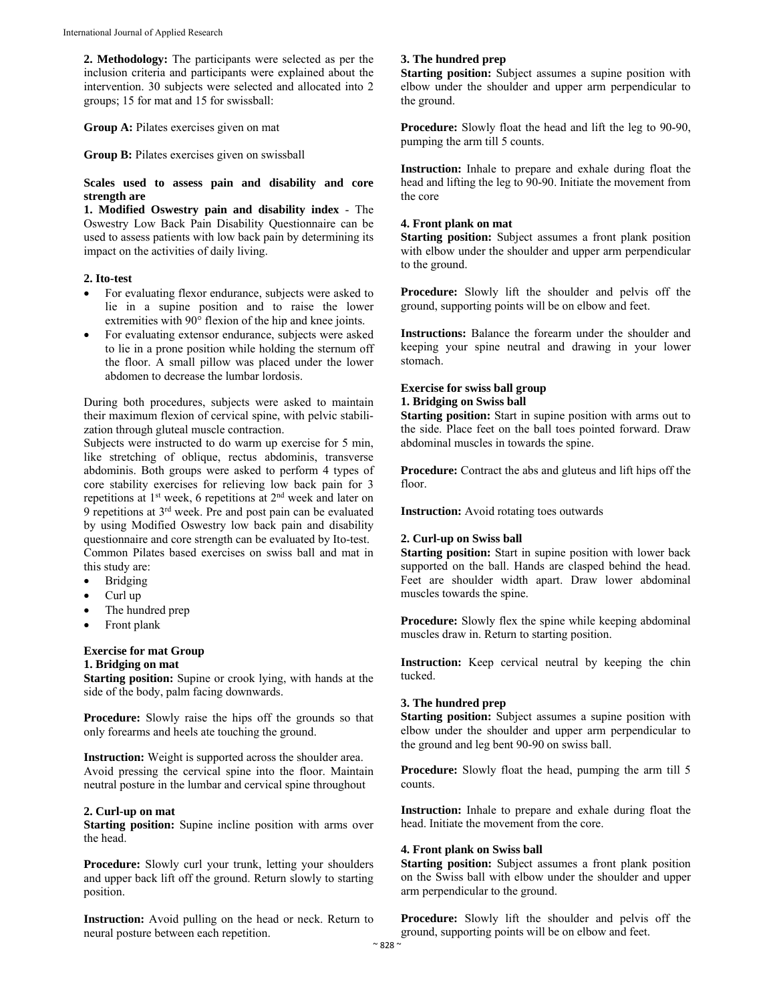**2. Methodology:** The participants were selected as per the inclusion criteria and participants were explained about the intervention. 30 subjects were selected and allocated into 2 groups; 15 for mat and 15 for swissball:

**Group A:** Pilates exercises given on mat

**Group B:** Pilates exercises given on swissball

#### **Scales used to assess pain and disability and core strength are**

**1. Modified Oswestry pain and disability index** - The Oswestry Low Back Pain Disability Questionnaire can be used to assess patients with low back pain by determining its impact on the activities of daily living.

## **2. Ito-test**

- For evaluating flexor endurance, subjects were asked to lie in a supine position and to raise the lower extremities with 90° flexion of the hip and knee joints.
- For evaluating extensor endurance, subjects were asked to lie in a prone position while holding the sternum off the floor. A small pillow was placed under the lower abdomen to decrease the lumbar lordosis.

During both procedures, subjects were asked to maintain their maximum flexion of cervical spine, with pelvic stabilization through gluteal muscle contraction.

Subjects were instructed to do warm up exercise for 5 min, like stretching of oblique, rectus abdominis, transverse abdominis. Both groups were asked to perform 4 types of core stability exercises for relieving low back pain for 3 repetitions at  $1<sup>st</sup>$  week, 6 repetitions at  $2<sup>nd</sup>$  week and later on 9 repetitions at 3rd week. Pre and post pain can be evaluated by using Modified Oswestry low back pain and disability questionnaire and core strength can be evaluated by Ito-test. Common Pilates based exercises on swiss ball and mat in this study are:

- Bridging
- Curl up
- The hundred prep
- Front plank

#### **Exercise for mat Group 1. Bridging on mat**

**Starting position:** Supine or crook lying, with hands at the side of the body, palm facing downwards.

**Procedure:** Slowly raise the hips off the grounds so that only forearms and heels ate touching the ground.

**Instruction:** Weight is supported across the shoulder area. Avoid pressing the cervical spine into the floor. Maintain neutral posture in the lumbar and cervical spine throughout

#### **2. Curl-up on mat**

**Starting position:** Supine incline position with arms over the head.

**Procedure:** Slowly curl your trunk, letting your shoulders and upper back lift off the ground. Return slowly to starting position.

**Instruction:** Avoid pulling on the head or neck. Return to neural posture between each repetition.

## **3. The hundred prep**

**Starting position:** Subject assumes a supine position with elbow under the shoulder and upper arm perpendicular to the ground.

**Procedure:** Slowly float the head and lift the leg to 90-90, pumping the arm till 5 counts.

**Instruction:** Inhale to prepare and exhale during float the head and lifting the leg to 90-90. Initiate the movement from the core

### **4. Front plank on mat**

**Starting position:** Subject assumes a front plank position with elbow under the shoulder and upper arm perpendicular to the ground.

**Procedure:** Slowly lift the shoulder and pelvis off the ground, supporting points will be on elbow and feet.

**Instructions:** Balance the forearm under the shoulder and keeping your spine neutral and drawing in your lower stomach.

### **Exercise for swiss ball group 1. Bridging on Swiss ball**

**Starting position:** Start in supine position with arms out to the side. Place feet on the ball toes pointed forward. Draw abdominal muscles in towards the spine.

**Procedure:** Contract the abs and gluteus and lift hips off the floor.

**Instruction:** Avoid rotating toes outwards

## **2. Curl-up on Swiss ball**

**Starting position:** Start in supine position with lower back supported on the ball. Hands are clasped behind the head. Feet are shoulder width apart. Draw lower abdominal muscles towards the spine.

**Procedure:** Slowly flex the spine while keeping abdominal muscles draw in. Return to starting position.

**Instruction:** Keep cervical neutral by keeping the chin tucked.

#### **3. The hundred prep**

**Starting position:** Subject assumes a supine position with elbow under the shoulder and upper arm perpendicular to the ground and leg bent 90-90 on swiss ball.

**Procedure:** Slowly float the head, pumping the arm till 5 counts.

**Instruction:** Inhale to prepare and exhale during float the head. Initiate the movement from the core.

## **4. Front plank on Swiss ball**

**Starting position:** Subject assumes a front plank position on the Swiss ball with elbow under the shoulder and upper arm perpendicular to the ground.

**Procedure:** Slowly lift the shoulder and pelvis off the ground, supporting points will be on elbow and feet.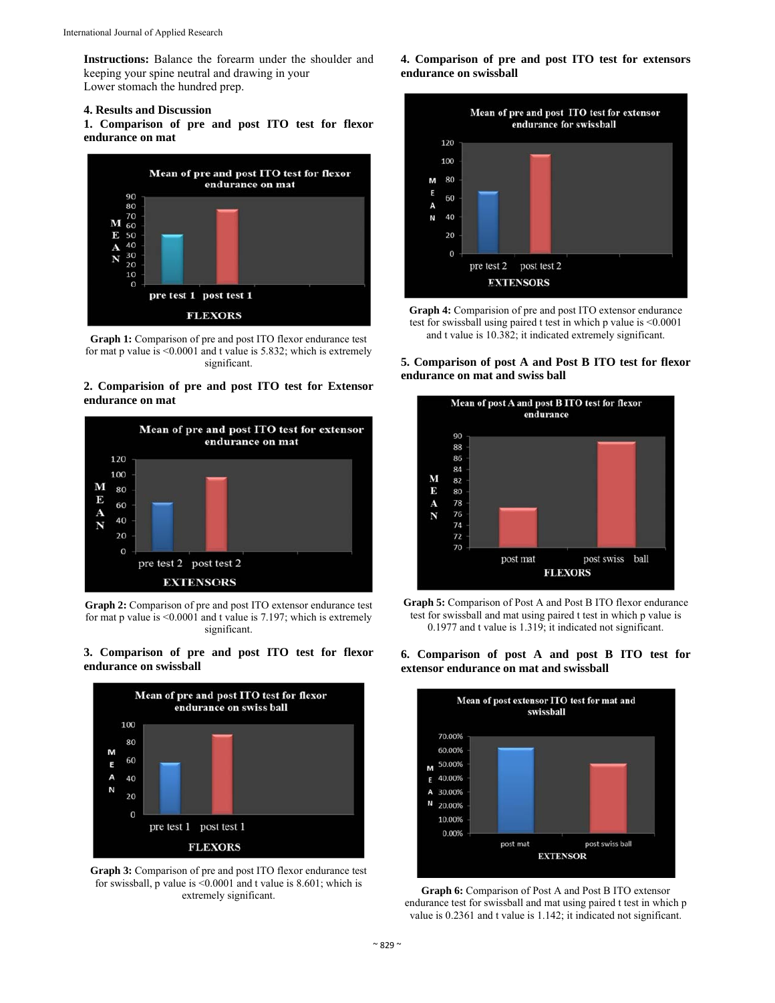**Instructions:** Balance the forearm under the shoulder and keeping your spine neutral and drawing in your Lower stomach the hundred prep.

#### **4. Results and Discussion**

**1. Comparison of pre and post ITO test for flexor endurance on mat** 



**Graph 1:** Comparison of pre and post ITO flexor endurance test for mat p value is <0.0001 and t value is 5.832; which is extremely significant.

#### **2. Comparision of pre and post ITO test for Extensor endurance on mat**



**Graph 2:** Comparison of pre and post ITO extensor endurance test for mat p value is <0.0001 and t value is 7.197; which is extremely significant.

#### **3. Comparison of pre and post ITO test for flexor endurance on swissball**



**Graph 3:** Comparison of pre and post ITO flexor endurance test for swissball, p value is <0.0001 and t value is 8.601; which is extremely significant.

**4. Comparison of pre and post ITO test for extensors endurance on swissball** 



**Graph 4:** Comparision of pre and post ITO extensor endurance test for swissball using paired t test in which p value is <0.0001 and t value is 10.382; it indicated extremely significant.

### **5. Comparison of post A and Post B ITO test for flexor endurance on mat and swiss ball**









**Graph 6:** Comparison of Post A and Post B ITO extensor endurance test for swissball and mat using paired t test in which p value is 0.2361 and t value is 1.142; it indicated not significant.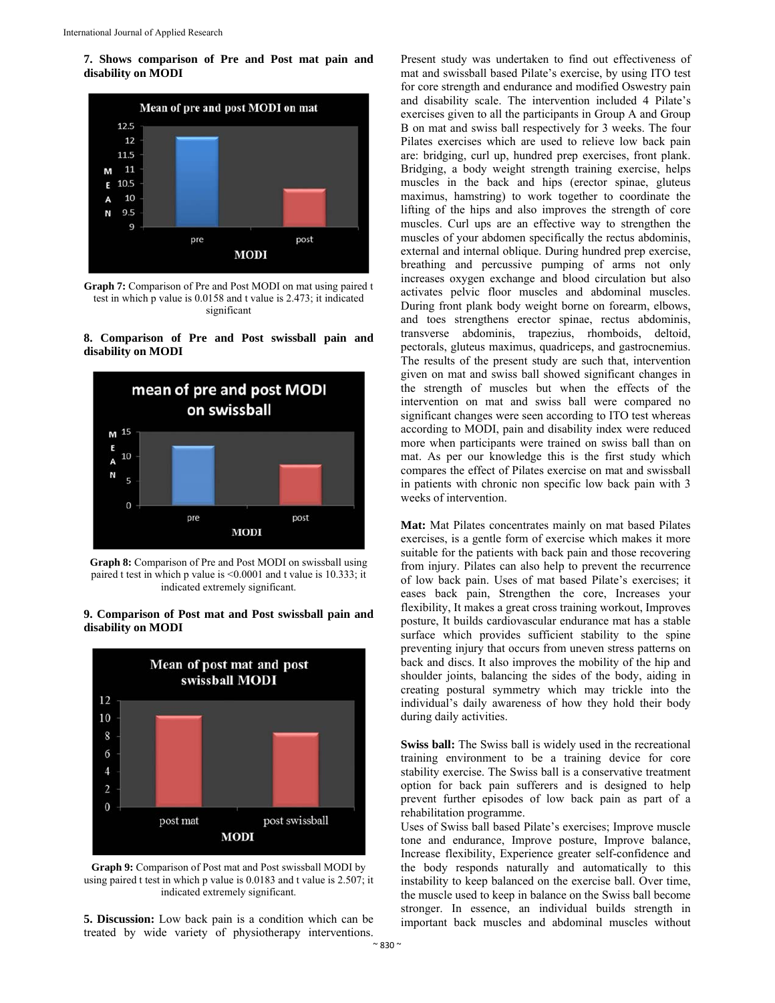**7. Shows comparison of Pre and Post mat pain and disability on MODI** 



**Graph 7:** Comparison of Pre and Post MODI on mat using paired t test in which p value is 0.0158 and t value is 2.473; it indicated significant

#### **8. Comparison of Pre and Post swissball pain and disability on MODI**



**Graph 8:** Comparison of Pre and Post MODI on swissball using paired t test in which p value is <0.0001 and t value is 10.333; it indicated extremely significant.

#### **9. Comparison of Post mat and Post swissball pain and disability on MODI**



**Graph 9:** Comparison of Post mat and Post swissball MODI by using paired t test in which p value is 0.0183 and t value is 2.507; it indicated extremely significant.

**5. Discussion:** Low back pain is a condition which can be treated by wide variety of physiotherapy interventions.

Present study was undertaken to find out effectiveness of mat and swissball based Pilate's exercise, by using ITO test for core strength and endurance and modified Oswestry pain and disability scale. The intervention included 4 Pilate's exercises given to all the participants in Group A and Group B on mat and swiss ball respectively for 3 weeks. The four Pilates exercises which are used to relieve low back pain are: bridging, curl up, hundred prep exercises, front plank. Bridging, a body weight strength training exercise, helps muscles in the back and hips (erector spinae, gluteus maximus, hamstring) to work together to coordinate the lifting of the hips and also improves the strength of core muscles. Curl ups are an effective way to strengthen the muscles of your abdomen specifically the rectus abdominis, external and internal oblique. During hundred prep exercise, breathing and percussive pumping of arms not only increases oxygen exchange and blood circulation but also activates pelvic floor muscles and abdominal muscles. During front plank body weight borne on forearm, elbows, and toes strengthens erector spinae, rectus abdominis, transverse abdominis, trapezius, rhomboids, deltoid, pectorals, gluteus maximus, quadriceps, and gastrocnemius. The results of the present study are such that, intervention given on mat and swiss ball showed significant changes in the strength of muscles but when the effects of the intervention on mat and swiss ball were compared no significant changes were seen according to ITO test whereas according to MODI, pain and disability index were reduced more when participants were trained on swiss ball than on mat. As per our knowledge this is the first study which compares the effect of Pilates exercise on mat and swissball in patients with chronic non specific low back pain with 3 weeks of intervention.

**Mat:** Mat Pilates concentrates mainly on mat based Pilates exercises, is a gentle form of exercise which makes it more suitable for the patients with back pain and those recovering from injury. Pilates can also help to prevent the recurrence of low back pain. Uses of mat based Pilate's exercises; it eases back pain, Strengthen the core, Increases your flexibility, It makes a great cross training workout, Improves posture, It builds cardiovascular endurance mat has a stable surface which provides sufficient stability to the spine preventing injury that occurs from uneven stress patterns on back and discs. It also improves the mobility of the hip and shoulder joints, balancing the sides of the body, aiding in creating postural symmetry which may trickle into the individual's daily awareness of how they hold their body during daily activities.

**Swiss ball:** The Swiss ball is widely used in the recreational training environment to be a training device for core stability exercise. The Swiss ball is a conservative treatment option for back pain sufferers and is designed to help prevent further episodes of low back pain as part of a rehabilitation programme.

Uses of Swiss ball based Pilate's exercises; Improve muscle tone and endurance, Improve posture, Improve balance, Increase flexibility, Experience greater self-confidence and the body responds naturally and automatically to this instability to keep balanced on the exercise ball. Over time, the muscle used to keep in balance on the Swiss ball become stronger. In essence, an individual builds strength in important back muscles and abdominal muscles without